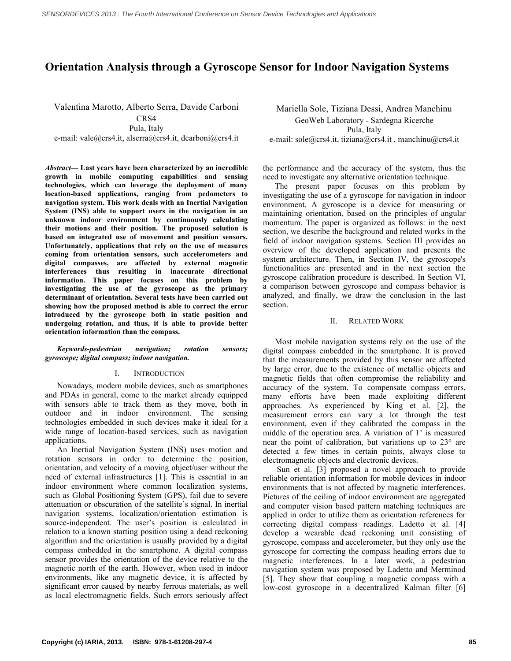# **Orientation Analysis through a Gyroscope Sensor for Indoor Navigation Systems**

Valentina Marotto, Alberto Serra, Davide Carboni CRS4 Pula, Italy e-mail: vale@crs4.it, alserra@crs4.it, dcarboni@crs4.it

*Abstract***— Last years have been characterized by an incredible growth in mobile computing capabilities and sensing technologies, which can leverage the deployment of many location-based applications, ranging from pedometers to navigation system. This work deals with an Inertial Navigation System (INS) able to support users in the navigation in an unknown indoor environment by continuously calculating their motions and their position. The proposed solution is based on integrated use of movement and position sensors. Unfortunately, applications that rely on the use of measures coming from orientation sensors, such accelerometers and digital compasses, are affected by external magnetic interferences thus resulting in inaccurate directional information. This paper focuses on this problem by investigating the use of the gyroscope as the primary determinant of orientation. Several tests have been carried out showing how the proposed method is able to correct the error introduced by the gyroscope both in static position and undergoing rotation, and thus, it is able to provide better orientation information than the compass.**

*Keywords-pedestrian navigation; rotation sensors; gyroscope; digital compass; indoor navigation.*

### I. INTRODUCTION

Nowadays, modern mobile devices, such as smartphones and PDAs in general, come to the market already equipped with sensors able to track them as they move, both in outdoor and in indoor environment. The sensing technologies embedded in such devices make it ideal for a wide range of location-based services, such as navigation applications.

An Inertial Navigation System (INS) uses motion and rotation sensors in order to determine the position, orientation, and velocity of a moving object/user without the need of external infrastructures [1]. This is essential in an indoor environment where common localization systems, such as Global Positioning System (GPS), fail due to severe attenuation or obscuration of the satellite's signal. In inertial navigation systems, localization/orientation estimation is source-independent. The user's position is calculated in relation to a known starting position using a dead reckoning algorithm and the orientation is usually provided by a digital compass embedded in the smartphone. A digital compass sensor provides the orientation of the device relative to the magnetic north of the earth. However, when used in indoor environments, like any magnetic device, it is affected by significant error caused by nearby ferrous materials, as well as local electromagnetic fields. Such errors seriously affect

Mariella Sole, Tiziana Dessi, Andrea Manchinu GeoWeb Laboratory - Sardegna Ricerche Pula, Italy e-mail: sole@crs4.it, tiziana@crs4.it , manchinu@crs4.it

the performance and the accuracy of the system, thus the need to investigate any alternative orientation technique.

The present paper focuses on this problem by investigating the use of a gyroscope for navigation in indoor environment. A gyroscope is a device for measuring or maintaining orientation, based on the principles of angular momentum. The paper is organized as follows: in the next section, we describe the background and related works in the field of indoor navigation systems. Section III provides an overview of the developed application and presents the system architecture. Then, in Section IV, the gyroscope's functionalities are presented and in the next section the gyroscope calibration procedure is described. In Section VI, a comparison between gyroscope and compass behavior is analyzed, and finally, we draw the conclusion in the last section.

### II. RELATED WORK

Most mobile navigation systems rely on the use of the digital compass embedded in the smartphone. It is proved that the measurements provided by this sensor are affected by large error, due to the existence of metallic objects and magnetic fields that often compromise the reliability and accuracy of the system. To compensate compass errors, many efforts have been made exploiting different approaches. As experienced by King et al. [2], the measurement errors can vary a lot through the test environment, even if they calibrated the compass in the middle of the operation area. A variation of 1° is measured near the point of calibration, but variations up to 23° are detected a few times in certain points, always close to electromagnetic objects and electronic devices.

Sun et al. [3] proposed a novel approach to provide reliable orientation information for mobile devices in indoor environments that is not affected by magnetic interferences. Pictures of the ceiling of indoor environment are aggregated and computer vision based pattern matching techniques are applied in order to utilize them as orientation references for correcting digital compass readings. Ladetto et al. [4] develop a wearable dead reckoning unit consisting of gyroscope, compass and accelerometer, but they only use the gyroscope for correcting the compass heading errors due to magnetic interferences. In a later work, a pedestrian navigation system was proposed by Ladetto and Merminod [5]. They show that coupling a magnetic compass with a low-cost gyroscope in a decentralized Kalman filter [6]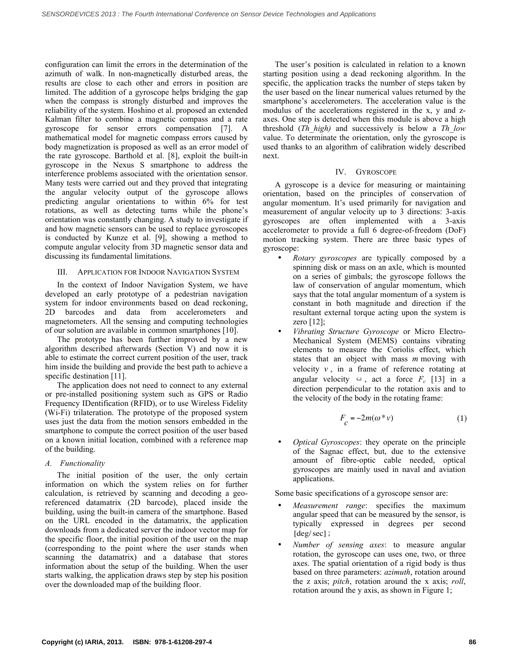configuration can limit the errors in the determination of the azimuth of walk. In non-magnetically disturbed areas, the results are close to each other and errors in position are limited. The addition of a gyroscope helps bridging the gap when the compass is strongly disturbed and improves the reliability of the system. Hoshino et al. proposed an extended Kalman filter to combine a magnetic compass and a rate gyroscope for sensor errors compensation [7]. A mathematical model for magnetic compass errors caused by body magnetization is proposed as well as an error model of the rate gyroscope. Barthold et al. [8], exploit the built-in gyroscope in the Nexus S smartphone to address the interference problems associated with the orientation sensor. Many tests were carried out and they proved that integrating the angular velocity output of the gyroscope allows predicting angular orientations to within 6% for test rotations, as well as detecting turns while the phone's orientation was constantly changing. A study to investigate if and how magnetic sensors can be used to replace gyroscopes is conducted by Kunze et al. [9], showing a method to compute angular velocity from 3D magnetic sensor data and discussing its fundamental limitations.

## III. APPLICATION FOR INDOOR NAVIGATION SYSTEM

In the context of Indoor Navigation System, we have developed an early prototype of a pedestrian navigation system for indoor environments based on dead reckoning, 2D barcodes and data from accelerometers and magnetometers. All the sensing and computing technologies of our solution are available in common smartphones [10].

The prototype has been further improved by a new algorithm described afterwards (Section V) and now it is able to estimate the correct current position of the user, track him inside the building and provide the best path to achieve a specific destination [11].

The application does not need to connect to any external or pre-installed positioning system such as GPS or Radio Frequency IDentification (RFID), or to use Wireless Fidelity (Wi-Fi) trilateration. The prototype of the proposed system uses just the data from the motion sensors embedded in the smartphone to compute the correct position of the user based on a known initial location, combined with a reference map of the building.

## *A. Functionality*

The initial position of the user, the only certain information on which the system relies on for further calculation, is retrieved by scanning and decoding a georeferenced datamatrix (2D barcode), placed inside the building, using the built-in camera of the smartphone. Based on the URL encoded in the datamatrix, the application downloads from a dedicated server the indoor vector map for the specific floor, the initial position of the user on the map (corresponding to the point where the user stands when scanning the datamatrix) and a database that stores information about the setup of the building. When the user starts walking, the application draws step by step his position over the downloaded map of the building floor.

The user's position is calculated in relation to a known starting position using a dead reckoning algorithm. In the specific, the application tracks the number of steps taken by the user based on the linear numerical values returned by the smartphone's accelerometers. The acceleration value is the modulus of the accelerations registered in the x, y and zaxes. One step is detected when this module is above a high threshold (*Th\_high)* and successively is below a *Th\_low*  value. To determinate the orientation, only the gyroscope is used thanks to an algorithm of calibration widely described next.

## IV. GYROSCOPE

A gyroscope is a device for measuring or maintaining orientation, based on the principles of conservation of angular momentum. It's used primarily for navigation and measurement of angular velocity up to 3 directions: 3-axis gyroscopes are often implemented with a 3-axis accelerometer to provide a full 6 degree-of-freedom (DoF) motion tracking system. There are three basic types of gyroscope:

- *Rotary gyroscopes* are typically composed by a spinning disk or mass on an axle, which is mounted on a series of gimbals; the gyroscope follows the law of conservation of angular momentum, which says that the total angular momentum of a system is constant in both magnitude and direction if the resultant external torque acting upon the system is zero [12];
- *Vibrating Structure Gyroscope* or Micro Electro-Mechanical System (MEMS) contains vibrating elements to measure the Coriolis effect, which states that an object with mass *m* moving with velocity  $v$ , in a frame of reference rotating at angular velocity  $\omega$ , act a force  $F_c$  [13] in a direction perpendicular to the rotation axis and to the velocity of the body in the rotating frame:

$$
F_c = -2m(\omega^* v) \tag{1}
$$

• *Optical Gyroscopes*: they operate on the principle of the Sagnac effect, but, due to the extensive amount of fibre-optic cable needed, optical gyroscopes are mainly used in naval and aviation applications.

Some basic specifications of a gyroscope sensor are:

- *Measurement range*: specifies the maximum angular speed that can be measured by the sensor, is typically expressed in degrees per second [deg/sec];
- *Number of sensing axes*: to measure angular rotation, the gyroscope can uses one, two, or three axes. The spatial orientation of a rigid body is thus based on three parameters: *azimuth*, rotation around the z axis; *pitch*, rotation around the x axis; *roll*, rotation around the y axis, as shown in Figure 1;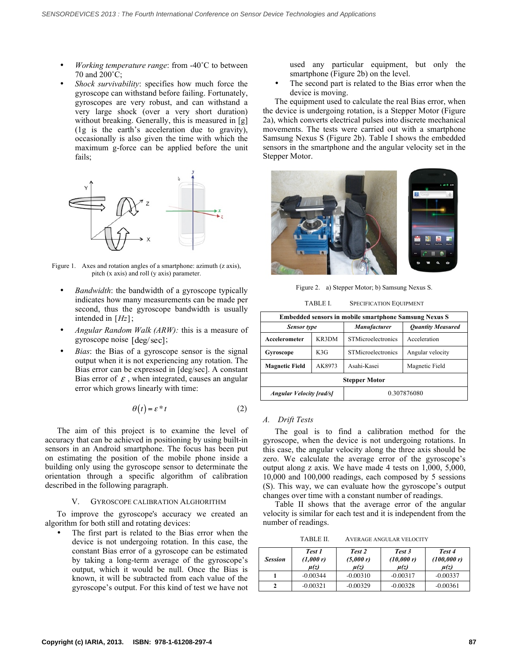- *Working temperature range*: from -40˚C to between 70 and 200˚C;
- *Shock survivability*: specifies how much force the gyroscope can withstand before failing. Fortunately, gyroscopes are very robust, and can withstand a very large shock (over a very short duration) without breaking. Generally, this is measured in [g] (1g is the earth's acceleration due to gravity), occasionally is also given the time with which the maximum g-force can be applied before the unit fails;



Figure 1. Axes and rotation angles of a smartphone: azimuth (z axis), pitch (x axis) and roll (y axis) parameter.

- *Bandwidth*: the bandwidth of a gyroscope typically indicates how many measurements can be made per second, thus the gyroscope bandwidth is usually intended in [*Hz*];
- *Angular Random Walk (ARW):* this is a measure of gyroscope noise [deg/sec];
- *Bias*: the Bias of a gyroscope sensor is the signal output when it is not experiencing any rotation. The Bias error can be expressed in [deg/sec]. A constant Bias error of  $\varepsilon$ , when integrated, causes an angular error which grows linearly with time:

$$
\theta(t) = \varepsilon * t \tag{2}
$$

The aim of this project is to examine the level of accuracy that can be achieved in positioning by using built-in sensors in an Android smartphone. The focus has been put on estimating the position of the mobile phone inside a building only using the gyroscope sensor to determinate the orientation through a specific algorithm of calibration described in the following paragraph.

### V. GYROSCOPE CALIBRATION ALGHORITHM

To improve the gyroscope's accuracy we created an algorithm for both still and rotating devices:

The first part is related to the Bias error when the device is not undergoing rotation. In this case, the constant Bias error of a gyroscope can be estimated by taking a long-term average of the gyroscope's output, which it would be null. Once the Bias is known, it will be subtracted from each value of the gyroscope's output. For this kind of test we have not

used any particular equipment, but only the smartphone (Figure 2b) on the level.

The second part is related to the Bias error when the device is moving.

The equipment used to calculate the real Bias error, when the device is undergoing rotation, is a Stepper Motor (Figure 2a), which converts electrical pulses into discrete mechanical movements. The tests were carried out with a smartphone Samsung Nexus S (Figure 2b). Table I shows the embedded sensors in the smartphone and the angular velocity set in the Stepper Motor.



Figure 2. a) Stepper Motor; b) Samsung Nexus S.

TABLE I. SPECIFICATION EQUIPMENT

| <b>Embedded sensors in mobile smartphone Samsung Nexus S</b> |        |                            |                          |  |  |
|--------------------------------------------------------------|--------|----------------------------|--------------------------|--|--|
| <b>Sensor</b> type                                           |        | Manufacturer               | <b>Ouantity Measured</b> |  |  |
| KR3DM<br>Accelerometer                                       |        | <b>STM</b> icroelectronics | Acceleration             |  |  |
| Gyroscope                                                    | K3G    | <b>STM</b> icroelectronics | Angular velocity         |  |  |
| <b>Magnetic Field</b>                                        | AK8973 | Asahi-Kasei                | Magnetic Field           |  |  |
| <b>Stepper Motor</b>                                         |        |                            |                          |  |  |
| Angular Velocity [rad/s]                                     |        | 0.307876080                |                          |  |  |

## *A. Drift Tests*

The goal is to find a calibration method for the gyroscope, when the device is not undergoing rotations. In this case, the angular velocity along the three axis should be zero. We calculate the average error of the gyroscope's output along z axis. We have made 4 tests on 1,000, 5,000, 10,000 and 100,000 readings, each composed by 5 sessions (S). This way, we can evaluate how the gyroscope's output changes over time with a constant number of readings.

Table II shows that the average error of the angular velocity is similar for each test and it is independent from the number of readings.

TABLE II. AVERAGE ANGULAR VELOCITY

| <b>Session</b> | Test 1<br>(1,000r)<br>$\mu(z)$ | Test 2<br>(5,000 r)<br>u(z) | Test 3<br>(10,000r)<br>$\mu(z)$ | Test 4<br>(100,000 r)<br>$\mu(z)$ |
|----------------|--------------------------------|-----------------------------|---------------------------------|-----------------------------------|
|                | $-0.00344$                     | $-0.00310$                  | $-0.00317$                      | $-0.00337$                        |
|                | $-0.00321$                     | $-0.00329$                  | $-0.00328$                      | $-0.00361$                        |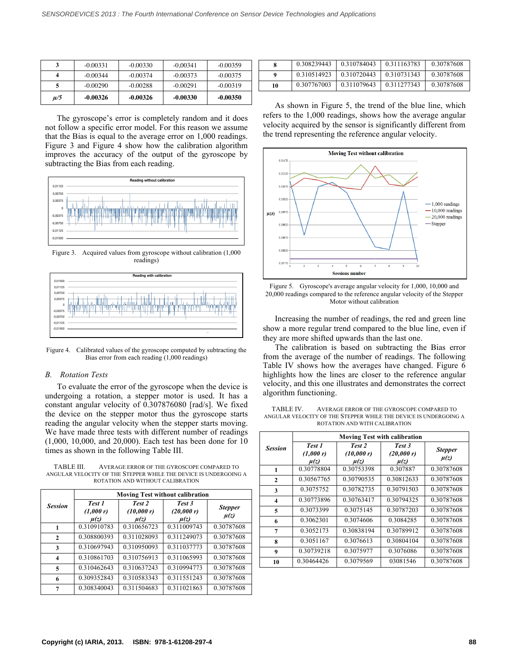|     | $-0.00331$ | $-0.00330$ | $-0.00341$ | $-0.00359$ |
|-----|------------|------------|------------|------------|
| 4   | $-0.00344$ | $-0.00374$ | $-0.00373$ | $-0.00375$ |
| 5   | $-0.00290$ | $-0.00288$ | $-0.00291$ | $-0.00319$ |
| u/5 | $-0.00326$ | $-0.00326$ | $-0.00330$ | -0.00350   |

The gyroscope's error is completely random and it does not follow a specific error model. For this reason we assume that the Bias is equal to the average error on 1,000 readings. Figure 3 and Figure 4 show how the calibration algorithm improves the accuracy of the output of the gyroscope by subtracting the Bias from each reading.



Figure 3. Acquired values from gyroscope without calibration (1,000 readings)



Figure 4. Calibrated values of the gyroscope computed by subtracting the Bias error from each reading (1,000 readings)

### *B. Rotation Tests*

To evaluate the error of the gyroscope when the device is undergoing a rotation, a stepper motor is used. It has a constant angular velocity of 0.307876080 [rad/s]. We fixed the device on the stepper motor thus the gyroscope starts reading the angular velocity when the stepper starts moving. We have made three tests with different number of readings (1,000, 10,000, and 20,000). Each test has been done for 10 times as shown in the following Table III.

TABLE III. AVERAGE ERROR OF THE GYROSCOPE COMPARED TO ANGULAR VELOCITY OF THE STEPPER WHILE THE DEVICE IS UNDERGOING A ROTATION AND WITHOUT CALIBRATION

|                | Moving Test without calibration |                                  |                                  |                            |  |  |
|----------------|---------------------------------|----------------------------------|----------------------------------|----------------------------|--|--|
| <b>Session</b> | Test 1<br>(1,000r)<br>$\mu(z)$  | Test 2<br>(10,000 r)<br>$\mu(z)$ | Test 3<br>(20,000 r)<br>$\mu(z)$ | <b>Stepper</b><br>$\mu(z)$ |  |  |
| 1              | 0.310910783                     | 0.310656723                      | 0.311009743                      | 0.30787608                 |  |  |
| $\mathbf{2}$   | 0.308800393                     | 0.311028093                      | 0.311249073                      | 0.30787608                 |  |  |
| 3              | 0.310697943                     | 0.310950093                      | 0.311037773                      | 0.30787608                 |  |  |
| $\overline{4}$ | 0.310861703                     | 0.310756913                      | 0.311065993                      | 0.30787608                 |  |  |
| 5              | 0.310462643                     | 0.310637243                      | 0.310994773                      | 0.30787608                 |  |  |
| 6              | 0.309352843                     | 0.310583343                      | 0.311551243                      | 0.30787608                 |  |  |
| 7              | 0.308340043                     | 0.311504683                      | 0.311021863                      | 0.30787608                 |  |  |

| 8  | 0.308239443 | 0.310784043 | 0.311163783 | 0.30787608 |
|----|-------------|-------------|-------------|------------|
| Q  | 0.310514923 | 0.310720443 | 0.310731343 | 0.30787608 |
| 10 | 0.307767003 | 0.311079643 | 0.311277343 | 0.30787608 |

As shown in Figure 5, the trend of the blue line, which refers to the 1,000 readings, shows how the average angular velocity acquired by the sensor is significantly different from the trend representing the reference angular velocity.



Figure 5. Gyroscope's average angular velocity for 1,000, 10,000 and 20,000 readings compared to the reference angular velocity of the Stepper Motor without calibration

Increasing the number of readings, the red and green line show a more regular trend compared to the blue line, even if they are more shifted upwards than the last one.

The calibration is based on subtracting the Bias error from the average of the number of readings. The following Table IV shows how the averages have changed. Figure 6 highlights how the lines are closer to the reference angular velocity, and this one illustrates and demonstrates the correct algorithm functioning.

TABLE IV. AVERAGE ERROR OF THE GYROSCOPE COMPARED TO ANGULAR VELOCITY OF THE STEPPER WHILE THE DEVICE IS UNDERGOING A ROTATION AND WITH CALIBRATION

|                     | <b>Moving Test with calibration</b> |                                  |                                  |                            |  |  |
|---------------------|-------------------------------------|----------------------------------|----------------------------------|----------------------------|--|--|
| <b>Session</b>      | Test 1<br>(1,000r)<br>$\mu(z)$      | Test 2<br>(10,000 r)<br>$\mu(z)$ | Test 3<br>(20,000 r)<br>$\mu(z)$ | <b>Stepper</b><br>$\mu(z)$ |  |  |
| $\mathbf{1}$        | 0.30778804                          | 0.30753398                       | 0.307887                         | 0.30787608                 |  |  |
| $\mathbf{2}$        | 0.30567765                          | 0.30790535                       | 0.30812633                       | 0.30787608                 |  |  |
| 3                   | 0.3075752                           | 0.30782735                       | 0.30791503                       | 0.30787608                 |  |  |
| $\overline{\bf{4}}$ | 0.30773896                          | 0.30763417                       | 0.30794325                       | 0.30787608                 |  |  |
| 5                   | 0.3073399                           | 0.3075145                        | 0.30787203                       | 0.30787608                 |  |  |
| 6                   | 0.3062301                           | 0.3074606                        | 0.3084285                        | 0.30787608                 |  |  |
| 7                   | 0.3052173                           | 0.30838194                       | 0.30789912                       | 0.30787608                 |  |  |
| 8                   | 0.3051167                           | 0.3076613                        | 0.30804104                       | 0.30787608                 |  |  |
| 9                   | 0.30739218                          | 0.3075977                        | 0.3076086                        | 0.30787608                 |  |  |
| 10                  | 0.30464426                          | 0.3079569                        | 03081546                         | 0.30787608                 |  |  |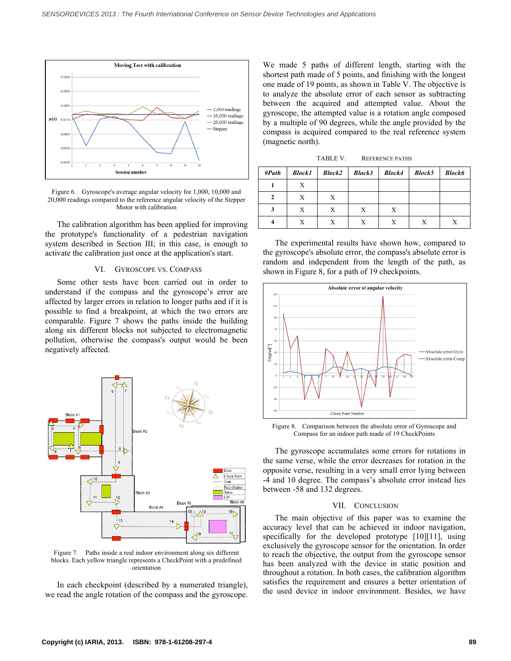

Figure 6. Gyroscope's average angular velocity for 1,000, 10,000 and 20,000 readings compared to the reference angular velocity of the Stepper Motor with calibration

The calibration algorithm has been applied for improving the prototype's functionality of a pedestrian navigation system described in Section III; in this case, is enough to activate the calibration just once at the application's start.

#### VI. GYROSCOPE VS. COMPASS

Some other tests have been carried out in order to understand if the compass and the gyroscope's error are affected by larger errors in relation to longer paths and if it is possible to find a breakpoint, at which the two errors are comparable. Figure 7 shows the paths inside the building along six different blocks not subjected to electromagnetic pollution, otherwise the compass's output would be been negatively affected.



Figure 7. Paths inside a real indoor environment along six different blocks. Each yellow triangle represents a CheckPoint with a predefined orientation

In each checkpoint (described by a numerated triangle), we read the angle rotation of the compass and the gyroscope. We made 5 paths of different length, starting with the shortest path made of 5 points, and finishing with the longest one made of 19 points, as shown in Table V. The objective is to analyze the absolute error of each sensor as subtracting between the acquired and attempted value. About the gyroscope, the attempted value is a rotation angle composed by a multiple of 90 degrees, while the angle provided by the compass is acquired compared to the real reference system (magnetic north).

TABLE V. REFERENCE PATHS

| #Path        | <b>Block1</b> | <b>Block2</b> | <b>Block3</b> | <b>Block4</b> | <b>Block5</b> | <b>Block6</b> |
|--------------|---------------|---------------|---------------|---------------|---------------|---------------|
|              | X             |               |               |               |               |               |
| $\mathbf{2}$ | X             | Х             |               |               |               |               |
| 3            | Х             | Х             | Χ             | Х             |               |               |
|              | v             | Х             | Y             | v             |               |               |

The experimental results have shown how, compared to the gyroscope's absolute error, the compass's absolute error is random and independent from the length of the path, as shown in Figure 8, for a path of 19 checkpoints.



Figure 8. Comparison between the absolute error of Gyroscope and Compass for an indoor path made of 19 CheckPoints

The gyroscope accumulates some errors for rotations in the same verse, while the error decreases for rotation in the opposite verse, resulting in a very small error lying between -4 and 10 degree. The compass's absolute error instead lies between -58 and 132 degrees.

#### VII. CONCLUSION

The main objective of this paper was to examine the accuracy level that can be achieved in indoor navigation, specifically for the developed prototype [10][11], using exclusively the gyroscope sensor for the orientation. In order to reach the objective, the output from the gyroscope sensor has been analyzed with the device in static position and throughout a rotation. In both cases, the calibration algorithm satisfies the requirement and ensures a better orientation of the used device in indoor environment. Besides, we have